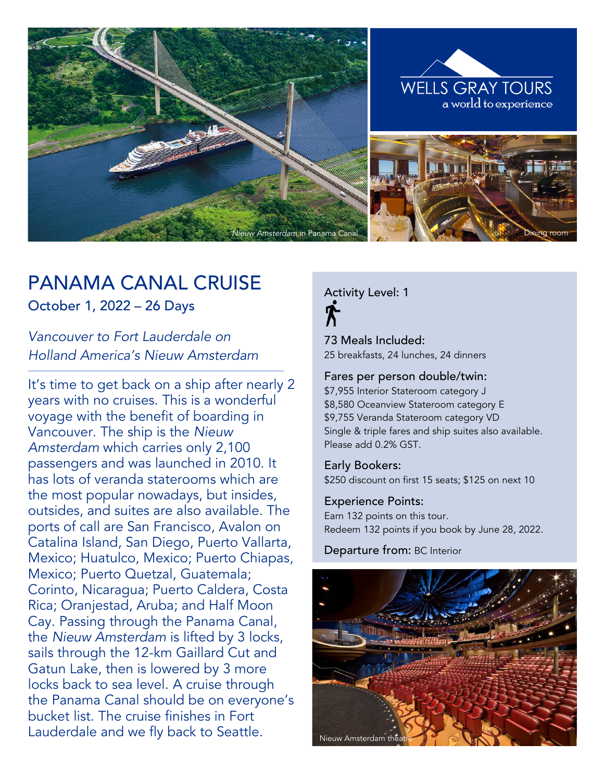

# PANAMA CANAL CRUISE

October 1, 2022 – 26 Days

*Vancouver to Fort Lauderdale on Holland America's Nieuw Amsterdam*

It's time to get back on a ship after nearly 2 years with no cruises. This is a wonderful voyage with the benefit of boarding in Vancouver. The ship is the *Nieuw Amsterdam* which carries only 2,100 passengers and was launched in 2010. It has lots of veranda staterooms which are the most popular nowadays, but insides, outsides, and suites are also available. The ports of call are San Francisco, Avalon on Catalina Island, San Diego, Puerto Vallarta, Mexico; Huatulco, Mexico; Puerto Chiapas, Mexico; Puerto Quetzal, Guatemala; Corinto, Nicaragua; Puerto Caldera, Costa Rica; Oranjestad, Aruba; and Half Moon Cay. Passing through the Panama Canal, the *Nieuw Amsterdam* is lifted by 3 locks, sails through the 12-km Gaillard Cut and Gatun Lake, then is lowered by 3 more locks back to sea level. A cruise through the Panama Canal should be on everyone's bucket list. The cruise finishes in Fort Lauderdale and we fly back to Seattle.

Activity Level: 1

73 Meals Included: 25 breakfasts, 24 lunches, 24 dinners

#### Fares per person double/twin:

\$7,955 Interior Stateroom category J \$8,580 Oceanview Stateroom category E \$9,755 Veranda Stateroom category VD Single & triple fares and ship suites also available. Please add 0.2% GST.

Early Bookers: \$250 discount on first 15 seats; \$125 on next 10

Experience Points: Earn 132 points on this tour. Redeem 132 points if you book by June 28, 2022.

Departure from: BC Interior

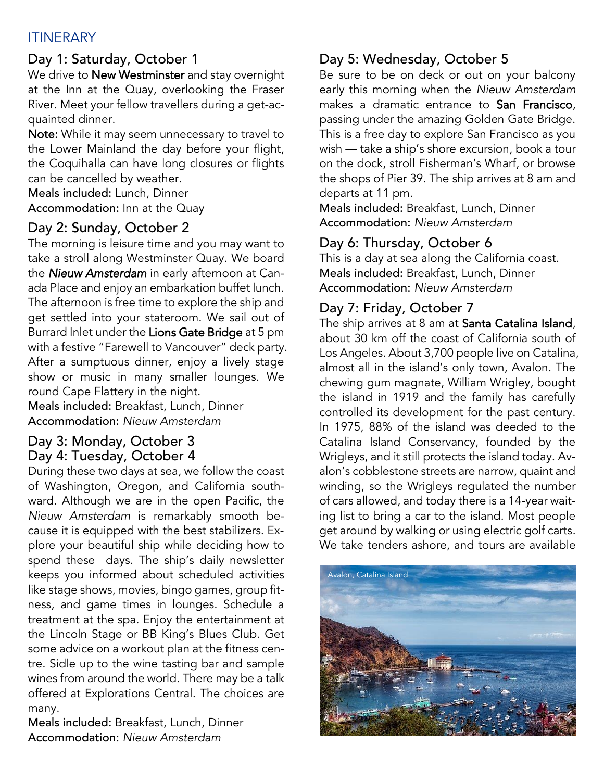### ITINERARY

### Day 1: Saturday, October 1

We drive to New Westminster and stay overnight at the Inn at the Quay, overlooking the Fraser River. Meet your fellow travellers during a get-acquainted dinner.

Note: While it may seem unnecessary to travel to the Lower Mainland the day before your flight, the Coquihalla can have long closures or flights can be cancelled by weather.

Meals included: Lunch, Dinner

Accommodation: Inn at the Quay

### Day 2: Sunday, October 2

The morning is leisure time and you may want to take a stroll along Westminster Quay. We board the *Nieuw Amsterdam* in early afternoon at Canada Place and enjoy an embarkation buffet lunch. The afternoon is free time to explore the ship and get settled into your stateroom. We sail out of Burrard Inlet under the Lions Gate Bridge at 5 pm with a festive "Farewell to Vancouver" deck party. After a sumptuous dinner, enjoy a lively stage show or music in many smaller lounges. We round Cape Flattery in the night.

Meals included: Breakfast, Lunch, Dinner Accommodation: *Nieuw Amsterdam*

#### Day 3: Monday, October 3 Day 4: Tuesday, October 4

During these two days at sea, we follow the coast of Washington, Oregon, and California southward. Although we are in the open Pacific, the *Nieuw Amsterdam* is remarkably smooth because it is equipped with the best stabilizers. Explore your beautiful ship while deciding how to spend these days. The ship's daily newsletter keeps you informed about scheduled activities like stage shows, movies, bingo games, group fitness, and game times in lounges. Schedule a treatment at the spa. Enjoy the entertainment at the Lincoln Stage or BB King's Blues Club. Get some advice on a workout plan at the fitness centre. Sidle up to the wine tasting bar and sample wines from around the world. There may be a talk offered at Explorations Central. The choices are many.

Meals included: Breakfast, Lunch, Dinner Accommodation: *Nieuw Amsterdam*

## Day 5: Wednesday, October 5

Be sure to be on deck or out on your balcony early this morning when the *Nieuw Amsterdam* makes a dramatic entrance to San Francisco, passing under the amazing Golden Gate Bridge. This is a free day to explore San Francisco as you wish — take a ship's shore excursion, book a tour on the dock, stroll Fisherman's Wharf, or browse the shops of Pier 39. The ship arrives at 8 am and departs at 11 pm.

Meals included: Breakfast, Lunch, Dinner Accommodation: *Nieuw Amsterdam*

### Day 6: Thursday, October 6

This is a day at sea along the California coast. Meals included: Breakfast, Lunch, Dinner Accommodation: *Nieuw Amsterdam*

## Day 7: Friday, October 7

The ship arrives at 8 am at Santa Catalina Island, about 30 km off the coast of California south of Los Angeles. About 3,700 people live on Catalina, almost all in the island's only town, Avalon. The chewing gum magnate, William Wrigley, bought the island in 1919 and the family has carefully controlled its development for the past century. In 1975, 88% of the island was deeded to the Catalina Island Conservancy, founded by the Wrigleys, and it still protects the island today. Avalon's cobblestone streets are narrow, quaint and winding, so the Wrigleys regulated the number of cars allowed, and today there is a 14-year waiting list to bring a car to the island. Most people get around by walking or using electric golf carts. We take tenders ashore, and tours are available

![](_page_1_Picture_19.jpeg)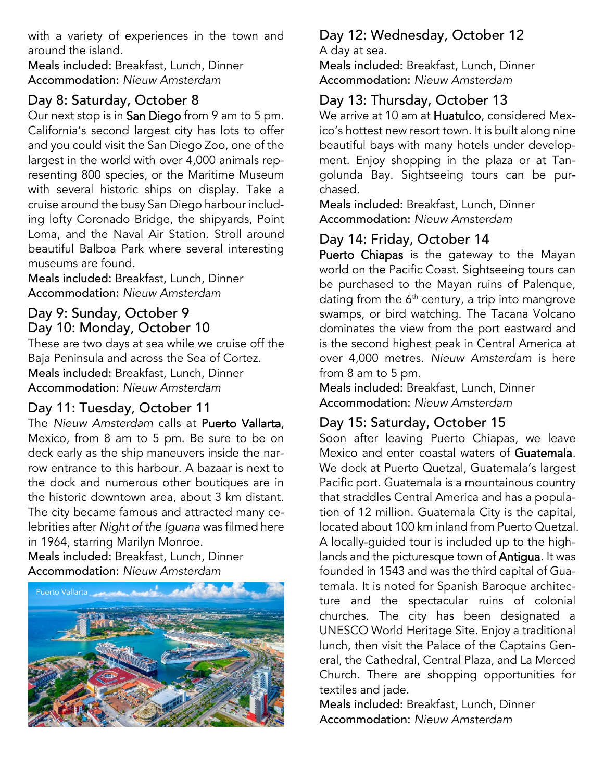with a variety of experiences in the town and around the island.

Meals included: Breakfast, Lunch, Dinner Accommodation: *Nieuw Amsterdam*

### Day 8: Saturday, October 8

Our next stop is in San Diego from 9 am to 5 pm. California's second largest city has lots to offer and you could visit the San Diego Zoo, one of the largest in the world with over 4,000 animals representing 800 species, or the Maritime Museum with several historic ships on display. Take a cruise around the busy San Diego harbour including lofty Coronado Bridge, the shipyards, Point Loma, and the Naval Air Station. Stroll around beautiful Balboa Park where several interesting museums are found.

Meals included: Breakfast, Lunch, Dinner Accommodation: *Nieuw Amsterdam*

### Day 9: Sunday, October 9 Day 10: Monday, October 10

These are two days at sea while we cruise off the Baja Peninsula and across the Sea of Cortez. Meals included: Breakfast, Lunch, Dinner Accommodation: *Nieuw Amsterdam*

### Day 11: Tuesday, October 11

The *Nieuw Amsterdam* calls at Puerto Vallarta, Mexico, from 8 am to 5 pm. Be sure to be on deck early as the ship maneuvers inside the narrow entrance to this harbour. A bazaar is next to the dock and numerous other boutiques are in the historic downtown area, about 3 km distant. The city became famous and attracted many celebrities after *Night of the Iguana* was filmed here in 1964, starring Marilyn Monroe.

Meals included: Breakfast, Lunch, Dinner Accommodation: *Nieuw Amsterdam*

![](_page_2_Picture_10.jpeg)

# Day 12: Wednesday, October 12

A day at sea.

Meals included: Breakfast, Lunch, Dinner Accommodation: *Nieuw Amsterdam*

#### Day 13: Thursday, October 13

We arrive at 10 am at Huatulco, considered Mexico's hottest new resort town. It is built along nine beautiful bays with many hotels under development. Enjoy shopping in the plaza or at Tangolunda Bay. Sightseeing tours can be purchased.

Meals included: Breakfast, Lunch, Dinner Accommodation: *Nieuw Amsterdam*

### Day 14: Friday, October 14

Puerto Chiapas is the gateway to the Mayan world on the Pacific Coast. Sightseeing tours can be purchased to the Mayan ruins of Palenque, dating from the  $6<sup>th</sup>$  century, a trip into mangrove swamps, or bird watching. The Tacana Volcano dominates the view from the port eastward and is the second highest peak in Central America at over 4,000 metres. *Nieuw Amsterdam* is here from 8 am to 5 pm.

Meals included: Breakfast, Lunch, Dinner Accommodation: *Nieuw Amsterdam*

### Day 15: Saturday, October 15

Soon after leaving Puerto Chiapas, we leave Mexico and enter coastal waters of Guatemala. We dock at Puerto Quetzal, Guatemala's largest Pacific port. Guatemala is a mountainous country that straddles Central America and has a population of 12 million. Guatemala City is the capital, located about 100 km inland from Puerto Quetzal. A locally-guided tour is included up to the highlands and the picturesque town of Antigua. It was founded in 1543 and was the third capital of Guatemala. It is noted for Spanish Baroque architecture and the spectacular ruins of colonial churches. The city has been designated a UNESCO World Heritage Site. Enjoy a traditional lunch, then visit the Palace of the Captains General, the Cathedral, Central Plaza, and La Merced Church. There are shopping opportunities for textiles and jade.

Meals included: Breakfast, Lunch, Dinner Accommodation: *Nieuw Amsterdam*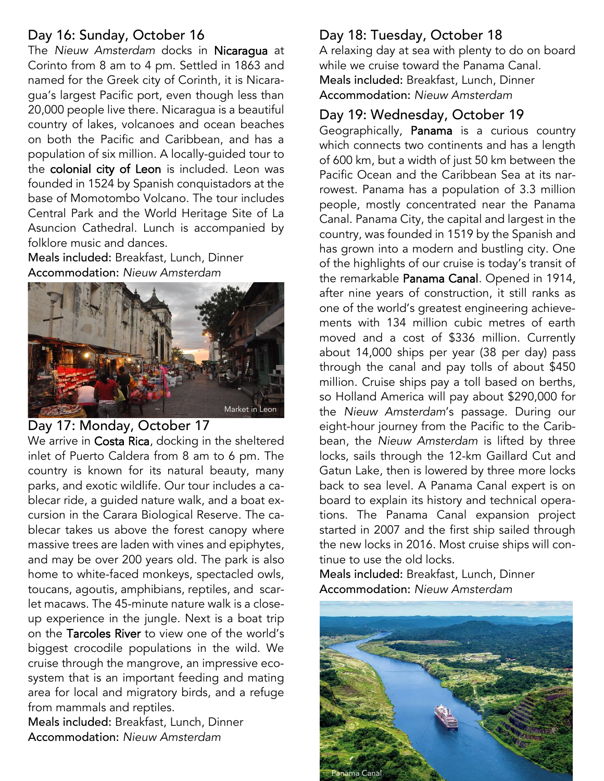#### Day 16: Sunday, October 16

The *Nieuw Amsterdam* docks in Nicaragua at Corinto from 8 am to 4 pm. Settled in 1863 and named for the Greek city of Corinth, it is Nicaragua's largest Pacific port, even though less than 20,000 people live there. Nicaragua is a beautiful country of lakes, volcanoes and ocean beaches on both the Pacific and Caribbean, and has a population of six million. A locally-guided tour to the colonial city of Leon is included. Leon was founded in 1524 by Spanish conquistadors at the base of Momotombo Volcano. The tour includes Central Park and the World Heritage Site of La Asuncion Cathedral. Lunch is accompanied by folklore music and dances.

Meals included: Breakfast, Lunch, Dinner Accommodation: *Nieuw Amsterdam*

![](_page_3_Picture_3.jpeg)

#### Day 17: Monday, October 17

We arrive in Costa Rica, docking in the sheltered inlet of Puerto Caldera from 8 am to 6 pm. The country is known for its natural beauty, many parks, and exotic wildlife. Our tour includes a cablecar ride, a guided nature walk, and a boat excursion in the Carara Biological Reserve. The cablecar takes us above the forest canopy where massive trees are laden with vines and epiphytes, and may be over 200 years old. The park is also home to white-faced monkeys, spectacled owls, toucans, agoutis, amphibians, reptiles, and scarlet macaws. The 45-minute nature walk is a closeup experience in the jungle. Next is a boat trip on the Tarcoles River to view one of the world's biggest crocodile populations in the wild. We cruise through the mangrove, an impressive ecosystem that is an important feeding and mating area for local and migratory birds, and a refuge from mammals and reptiles.

Meals included: Breakfast, Lunch, Dinner Accommodation: *Nieuw Amsterdam*

#### Day 18: Tuesday, October 18

A relaxing day at sea with plenty to do on board while we cruise toward the Panama Canal. Meals included: Breakfast, Lunch, Dinner Accommodation: *Nieuw Amsterdam*

#### Day 19: Wednesday, October 19

Geographically, Panama is a curious country which connects two continents and has a length of 600 km, but a width of just 50 km between the Pacific Ocean and the Caribbean Sea at its narrowest. Panama has a population of 3.3 million people, mostly concentrated near the Panama Canal. Panama City, the capital and largest in the country, was founded in 1519 by the Spanish and has grown into a modern and bustling city. One of the highlights of our cruise is today's transit of the remarkable Panama Canal. Opened in 1914, after nine years of construction, it still ranks as one of the world's greatest engineering achievements with 134 million cubic metres of earth moved and a cost of \$336 million. Currently about 14,000 ships per year (38 per day) pass through the canal and pay tolls of about \$450 million. Cruise ships pay a toll based on berths, so Holland America will pay about \$290,000 for the *Nieuw Amsterdam*'s passage. During our eight-hour journey from the Pacific to the Caribbean, the *Nieuw Amsterdam* is lifted by three locks, sails through the 12-km Gaillard Cut and Gatun Lake, then is lowered by three more locks back to sea level. A Panama Canal expert is on board to explain its history and technical operations. The Panama Canal expansion project started in 2007 and the first ship sailed through the new locks in 2016. Most cruise ships will continue to use the old locks.

Meals included: Breakfast, Lunch, Dinner Accommodation: *Nieuw Amsterdam*

![](_page_3_Picture_12.jpeg)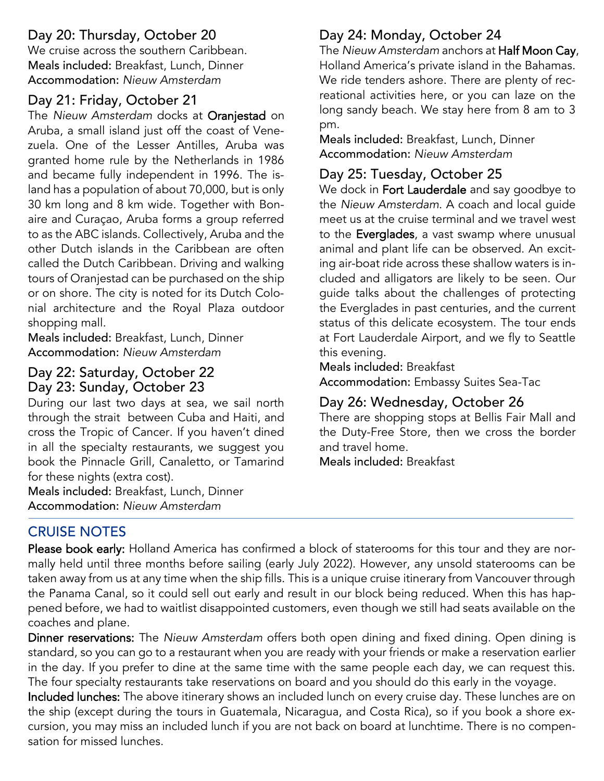### Day 20: Thursday, October 20

We cruise across the southern Caribbean. Meals included: Breakfast, Lunch, Dinner Accommodation: *Nieuw Amsterdam*

#### Day 21: Friday, October 21

The *Nieuw Amsterdam* docks at Oranjestad on Aruba, a small island just off the coast of Venezuela. One of the Lesser Antilles, Aruba was granted home rule by the Netherlands in 1986 and became fully independent in 1996. The island has a population of about 70,000, but is only 30 km long and 8 km wide. Together with Bonaire and Curaçao, Aruba forms a group referred to as the ABC islands. Collectively, Aruba and the other Dutch islands in the Caribbean are often called the Dutch Caribbean. Driving and walking tours of Oranjestad can be purchased on the ship or on shore. The city is noted for its Dutch Colonial architecture and the Royal Plaza outdoor shopping mall.

Meals included: Breakfast, Lunch, Dinner Accommodation: *Nieuw Amsterdam*

#### Day 22: Saturday, October 22 Day 23: Sunday, October 23

During our last two days at sea, we sail north through the strait between Cuba and Haiti, and cross the Tropic of Cancer. If you haven't dined in all the specialty restaurants, we suggest you book the Pinnacle Grill, Canaletto, or Tamarind for these nights (extra cost).

Meals included: Breakfast, Lunch, Dinner Accommodation: *Nieuw Amsterdam*

### Day 24: Monday, October 24

The *Nieuw Amsterdam* anchors at Half Moon Cay, Holland America's private island in the Bahamas. We ride tenders ashore. There are plenty of recreational activities here, or you can laze on the long sandy beach. We stay here from 8 am to 3 pm.

Meals included: Breakfast, Lunch, Dinner Accommodation: *Nieuw Amsterdam*

### Day 25: Tuesday, October 25

We dock in Fort Lauderdale and say goodbye to the *Nieuw Amsterdam*. A coach and local guide meet us at the cruise terminal and we travel west to the Everglades, a vast swamp where unusual animal and plant life can be observed. An exciting air-boat ride across these shallow waters is included and alligators are likely to be seen. Our guide talks about the challenges of protecting the Everglades in past centuries, and the current status of this delicate ecosystem. The tour ends at Fort Lauderdale Airport, and we fly to Seattle this evening.

Meals included: Breakfast

Accommodation: Embassy Suites Sea-Tac

#### Day 26: Wednesday, October 26

There are shopping stops at Bellis Fair Mall and the Duty-Free Store, then we cross the border and travel home.

Meals included: Breakfast

### CRUISE NOTES

Please book early: Holland America has confirmed a block of staterooms for this tour and they are normally held until three months before sailing (early July 2022). However, any unsold staterooms can be taken away from us at any time when the ship fills. This is a unique cruise itinerary from Vancouver through the Panama Canal, so it could sell out early and result in our block being reduced. When this has happened before, we had to waitlist disappointed customers, even though we still had seats available on the coaches and plane.

Dinner reservations: The *Nieuw Amsterdam* offers both open dining and fixed dining. Open dining is standard, so you can go to a restaurant when you are ready with your friends or make a reservation earlier in the day. If you prefer to dine at the same time with the same people each day, we can request this. The four specialty restaurants take reservations on board and you should do this early in the voyage.

Included lunches: The above itinerary shows an included lunch on every cruise day. These lunches are on the ship (except during the tours in Guatemala, Nicaragua, and Costa Rica), so if you book a shore excursion, you may miss an included lunch if you are not back on board at lunchtime. There is no compensation for missed lunches.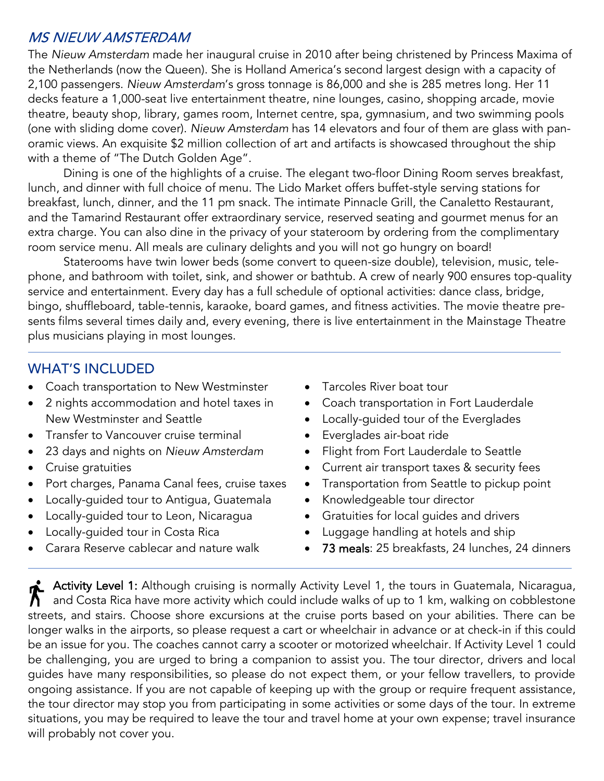#### MS NIEUW AMSTERDAM

The *Nieuw Amsterdam* made her inaugural cruise in 2010 after being christened by Princess Maxima of the Netherlands (now the Queen). She is Holland America's second largest design with a capacity of 2,100 passengers. *Nieuw Amsterdam*'s gross tonnage is 86,000 and she is 285 metres long. Her 11 decks feature a 1,000-seat live entertainment theatre, nine lounges, casino, shopping arcade, movie theatre, beauty shop, library, games room, Internet centre, spa, gymnasium, and two swimming pools (one with sliding dome cover). *Nieuw Amsterdam* has 14 elevators and four of them are glass with panoramic views. An exquisite \$2 million collection of art and artifacts is showcased throughout the ship with a theme of "The Dutch Golden Age".

Dining is one of the highlights of a cruise. The elegant two-floor Dining Room serves breakfast, lunch, and dinner with full choice of menu. The Lido Market offers buffet-style serving stations for breakfast, lunch, dinner, and the 11 pm snack. The intimate Pinnacle Grill, the Canaletto Restaurant, and the Tamarind Restaurant offer extraordinary service, reserved seating and gourmet menus for an extra charge. You can also dine in the privacy of your stateroom by ordering from the complimentary room service menu. All meals are culinary delights and you will not go hungry on board!

Staterooms have twin lower beds (some convert to queen-size double), television, music, telephone, and bathroom with toilet, sink, and shower or bathtub. A crew of nearly 900 ensures top-quality service and entertainment. Every day has a full schedule of optional activities: dance class, bridge, bingo, shuffleboard, table-tennis, karaoke, board games, and fitness activities. The movie theatre presents films several times daily and, every evening, there is live entertainment in the Mainstage Theatre plus musicians playing in most lounges.

#### WHAT'S INCLUDED

- Coach transportation to New Westminster
- 2 nights accommodation and hotel taxes in New Westminster and Seattle
- Transfer to Vancouver cruise terminal
- 23 days and nights on *Nieuw Amsterdam*
- Cruise gratuities
- Port charges, Panama Canal fees, cruise taxes
- Locally-guided tour to Antigua, Guatemala
- Locally-guided tour to Leon, Nicaragua
- Locally-guided tour in Costa Rica
- Carara Reserve cablecar and nature walk
- Tarcoles River boat tour
- Coach transportation in Fort Lauderdale
- Locally-guided tour of the Everglades
- Everglades air-boat ride
- Flight from Fort Lauderdale to Seattle
- Current air transport taxes & security fees
- Transportation from Seattle to pickup point
- Knowledgeable tour director
- Gratuities for local guides and drivers
- Luggage handling at hotels and ship
- 73 meals: 25 breakfasts, 24 lunches, 24 dinners

Activity Level 1: Although cruising is normally Activity Level 1, the tours in Guatemala, Nicaragua, and Costa Rica have more activity which could include walks of up to 1 km, walking on cobblestone streets, and stairs. Choose shore excursions at the cruise ports based on your abilities. There can be longer walks in the airports, so please request a cart or wheelchair in advance or at check-in if this could be an issue for you. The coaches cannot carry a scooter or motorized wheelchair. If Activity Level 1 could be challenging, you are urged to bring a companion to assist you. The tour director, drivers and local guides have many responsibilities, so please do not expect them, or your fellow travellers, to provide ongoing assistance. If you are not capable of keeping up with the group or require frequent assistance, the tour director may stop you from participating in some activities or some days of the tour. In extreme situations, you may be required to leave the tour and travel home at your own expense; travel insurance will probably not cover you.